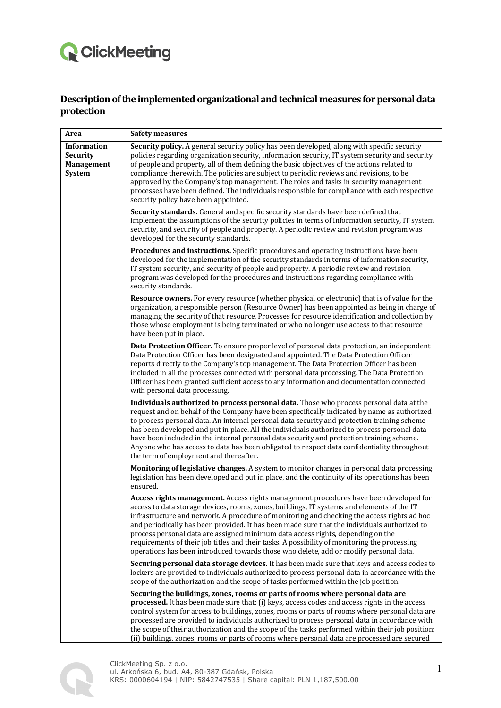## **Q** ClickMeeting

## Description of the implemented organizational and technical measures for personal data **protection**

| Area                                                                 | <b>Safety measures</b>                                                                                                                                                                                                                                                                                                                                                                                                                                                                                                                                                                                                                                         |
|----------------------------------------------------------------------|----------------------------------------------------------------------------------------------------------------------------------------------------------------------------------------------------------------------------------------------------------------------------------------------------------------------------------------------------------------------------------------------------------------------------------------------------------------------------------------------------------------------------------------------------------------------------------------------------------------------------------------------------------------|
| <b>Information</b><br><b>Security</b><br><b>Management</b><br>System | Security policy. A general security policy has been developed, along with specific security<br>policies regarding organization security, information security, IT system security and security<br>of people and property, all of them defining the basic objectives of the actions related to<br>compliance therewith. The policies are subject to periodic reviews and revisions, to be<br>approved by the Company's top management. The roles and tasks in security management<br>processes have been defined. The individuals responsible for compliance with each respective<br>security policy have been appointed.                                       |
|                                                                      | Security standards. General and specific security standards have been defined that<br>implement the assumptions of the security policies in terms of information security, IT system<br>security, and security of people and property. A periodic review and revision program was<br>developed for the security standards.                                                                                                                                                                                                                                                                                                                                     |
|                                                                      | Procedures and instructions. Specific procedures and operating instructions have been<br>developed for the implementation of the security standards in terms of information security,<br>IT system security, and security of people and property. A periodic review and revision<br>program was developed for the procedures and instructions regarding compliance with<br>security standards.                                                                                                                                                                                                                                                                 |
|                                                                      | Resource owners. For every resource (whether physical or electronic) that is of value for the<br>organization, a responsible person (Resource Owner) has been appointed as being in charge of<br>managing the security of that resource. Processes for resource identification and collection by<br>those whose employment is being terminated or who no longer use access to that resource<br>have been put in place.                                                                                                                                                                                                                                         |
|                                                                      | Data Protection Officer. To ensure proper level of personal data protection, an independent<br>Data Protection Officer has been designated and appointed. The Data Protection Officer<br>reports directly to the Company's top management. The Data Protection Officer has been<br>included in all the processes connected with personal data processing. The Data Protection<br>Officer has been granted sufficient access to any information and documentation connected<br>with personal data processing.                                                                                                                                                   |
|                                                                      | Individuals authorized to process personal data. Those who process personal data at the<br>request and on behalf of the Company have been specifically indicated by name as authorized<br>to process personal data. An internal personal data security and protection training scheme<br>has been developed and put in place. All the individuals authorized to process personal data<br>have been included in the internal personal data security and protection training scheme.<br>Anyone who has access to data has been obligated to respect data confidentiality throughout<br>the term of employment and thereafter.                                    |
|                                                                      | Monitoring of legislative changes. A system to monitor changes in personal data processing<br>legislation has been developed and put in place, and the continuity of its operations has been<br>ensured.                                                                                                                                                                                                                                                                                                                                                                                                                                                       |
|                                                                      | Access rights management. Access rights management procedures have been developed for<br>access to data storage devices, rooms, zones, buildings, IT systems and elements of the IT<br>infrastructure and network. A procedure of monitoring and checking the access rights ad hoc<br>and periodically has been provided. It has been made sure that the individuals authorized to<br>process personal data are assigned minimum data access rights, depending on the<br>requirements of their job titles and their tasks. A possibility of monitoring the processing<br>operations has been introduced towards those who delete, add or modify personal data. |
|                                                                      | Securing personal data storage devices. It has been made sure that keys and access codes to<br>lockers are provided to individuals authorized to process personal data in accordance with the<br>scope of the authorization and the scope of tasks performed within the job position.                                                                                                                                                                                                                                                                                                                                                                          |
|                                                                      | Securing the buildings, zones, rooms or parts of rooms where personal data are<br>processed. It has been made sure that: (i) keys, access codes and access rights in the access<br>control system for access to buildings, zones, rooms or parts of rooms where personal data are<br>processed are provided to individuals authorized to process personal data in accordance with<br>the scope of their authorization and the scope of the tasks performed within their job position;<br>(ii) buildings, zones, rooms or parts of rooms where personal data are processed are secured                                                                          |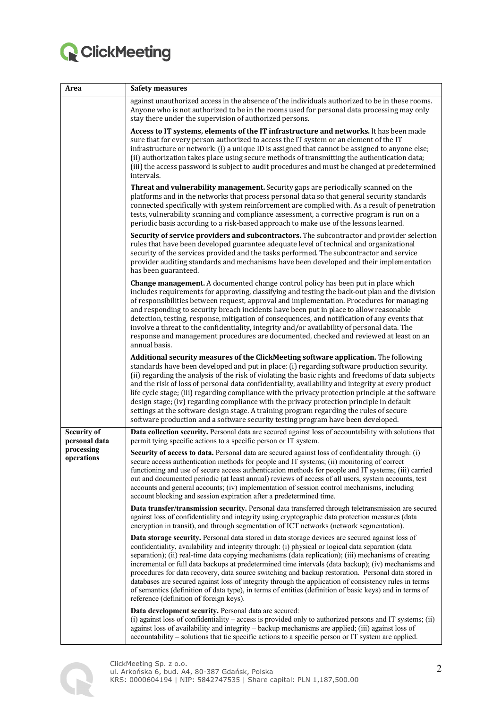

| Area                                                            | <b>Safety measures</b>                                                                                                                                                                                                                                                                                                                                                                                                                                                                                                                                                                                                                                                                                                                                                                     |
|-----------------------------------------------------------------|--------------------------------------------------------------------------------------------------------------------------------------------------------------------------------------------------------------------------------------------------------------------------------------------------------------------------------------------------------------------------------------------------------------------------------------------------------------------------------------------------------------------------------------------------------------------------------------------------------------------------------------------------------------------------------------------------------------------------------------------------------------------------------------------|
|                                                                 | against unauthorized access in the absence of the individuals authorized to be in these rooms.<br>Anyone who is not authorized to be in the rooms used for personal data processing may only<br>stay there under the supervision of authorized persons.                                                                                                                                                                                                                                                                                                                                                                                                                                                                                                                                    |
|                                                                 | Access to IT systems, elements of the IT infrastructure and networks. It has been made<br>sure that for every person authorized to access the IT system or an element of the IT<br>infrastructure or network: (i) a unique ID is assigned that cannot be assigned to anyone else;<br>(ii) authorization takes place using secure methods of transmitting the authentication data;<br>(iii) the access password is subject to audit procedures and must be changed at predetermined<br>intervals.                                                                                                                                                                                                                                                                                           |
|                                                                 | <b>Threat and vulnerability management.</b> Security gaps are periodically scanned on the<br>platforms and in the networks that process personal data so that general security standards<br>connected specifically with system reinforcement are complied with. As a result of penetration<br>tests, vulnerability scanning and compliance assessment, a corrective program is run on a<br>periodic basis according to a risk-based approach to make use of the lessons learned.                                                                                                                                                                                                                                                                                                           |
|                                                                 | Security of service providers and subcontractors. The subcontractor and provider selection<br>rules that have been developed guarantee adequate level of technical and organizational<br>security of the services provided and the tasks performed. The subcontractor and service<br>provider auditing standards and mechanisms have been developed and their implementation<br>has been guaranteed.                                                                                                                                                                                                                                                                                                                                                                                       |
|                                                                 | <b>Change management.</b> A documented change control policy has been put in place which<br>includes requirements for approving, classifying and testing the back-out plan and the division<br>of responsibilities between request, approval and implementation. Procedures for managing<br>and responding to security breach incidents have been put in place to allow reasonable<br>detection, testing, response, mitigation of consequences, and notification of any events that<br>involve a threat to the confidentiality, integrity and/or availability of personal data. The<br>response and management procedures are documented, checked and reviewed at least on an<br>annual basis.                                                                                             |
|                                                                 | Additional security measures of the ClickMeeting software application. The following<br>standards have been developed and put in place: (i) regarding software production security.<br>(ii) regarding the analysis of the risk of violating the basic rights and freedoms of data subjects<br>and the risk of loss of personal data confidentiality, availability and integrity at every product<br>life cycle stage; (iii) regarding compliance with the privacy protection principle at the software<br>design stage; (iv) regarding compliance with the privacy protection principle in default<br>settings at the software design stage. A training program regarding the rules of secure<br>software production and a software security testing program have been developed.          |
| <b>Security of</b><br>personal data<br>processing<br>operations | Data collection security. Personal data are secured against loss of accountability with solutions that<br>permit tying specific actions to a specific person or IT system.                                                                                                                                                                                                                                                                                                                                                                                                                                                                                                                                                                                                                 |
|                                                                 | Security of access to data. Personal data are secured against loss of confidentiality through: (i)<br>secure access authentication methods for people and IT systems; (ii) monitoring of correct<br>functioning and use of secure access authentication methods for people and IT systems; (iii) carried<br>out and documented periodic (at least annual) reviews of access of all users, system accounts, test<br>accounts and general accounts; (iv) implementation of session control mechanisms, including<br>account blocking and session expiration after a predetermined time.                                                                                                                                                                                                      |
|                                                                 | Data transfer/transmission security. Personal data transferred through teletransmission are secured<br>against loss of confidentiality and integrity using cryptographic data protection measures (data<br>encryption in transit), and through segmentation of ICT networks (network segmentation).                                                                                                                                                                                                                                                                                                                                                                                                                                                                                        |
|                                                                 | Data storage security. Personal data stored in data storage devices are secured against loss of<br>confidentiality, availability and integrity through: (i) physical or logical data separation (data<br>separation); (ii) real-time data copying mechanisms (data replication); (iii) mechanisms of creating<br>incremental or full data backups at predetermined time intervals (data backup); (iv) mechanisms and<br>procedures for data recovery, data source switching and backup restoration. Personal data stored in<br>databases are secured against loss of integrity through the application of consistency rules in terms<br>of semantics (definition of data type), in terms of entities (definition of basic keys) and in terms of<br>reference (definition of foreign keys). |
|                                                                 | Data development security. Personal data are secured:<br>(i) against loss of confidentiality - access is provided only to authorized persons and IT systems; (ii)<br>against loss of availability and integrity – backup mechanisms are applied; (iii) against loss of<br>accountability – solutions that tie specific actions to a specific person or IT system are applied.                                                                                                                                                                                                                                                                                                                                                                                                              |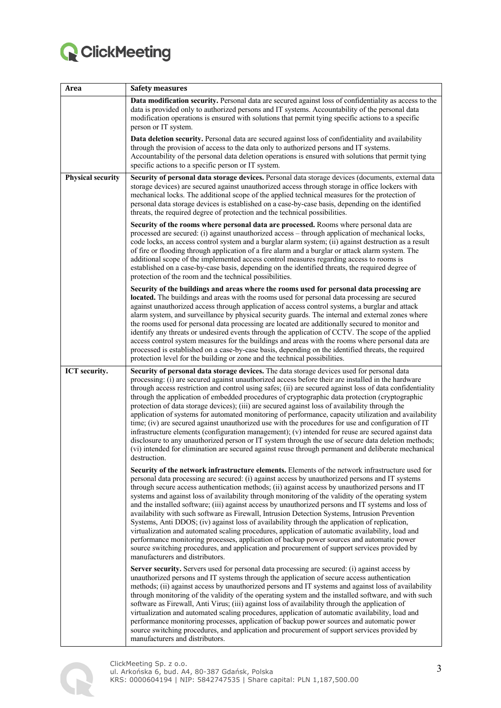

| Area                     | <b>Safety measures</b>                                                                                                                                                                                                                                                                                                                                                                                                                                                                                                                                                                                                                                                                                                                                                                                                                                                                                                                                                                                                                                                                                                                                                                                                                                                                                                                                                                                                                                                                                                                                                                                                                                                                                                                                                                                                                                                                                                                                                                                                                                                                                                                                                                                                                                                                                                                                                                                                                                                                                                                                                                                                                                                                                                                                                                                                                                                                                                                                      |
|--------------------------|-------------------------------------------------------------------------------------------------------------------------------------------------------------------------------------------------------------------------------------------------------------------------------------------------------------------------------------------------------------------------------------------------------------------------------------------------------------------------------------------------------------------------------------------------------------------------------------------------------------------------------------------------------------------------------------------------------------------------------------------------------------------------------------------------------------------------------------------------------------------------------------------------------------------------------------------------------------------------------------------------------------------------------------------------------------------------------------------------------------------------------------------------------------------------------------------------------------------------------------------------------------------------------------------------------------------------------------------------------------------------------------------------------------------------------------------------------------------------------------------------------------------------------------------------------------------------------------------------------------------------------------------------------------------------------------------------------------------------------------------------------------------------------------------------------------------------------------------------------------------------------------------------------------------------------------------------------------------------------------------------------------------------------------------------------------------------------------------------------------------------------------------------------------------------------------------------------------------------------------------------------------------------------------------------------------------------------------------------------------------------------------------------------------------------------------------------------------------------------------------------------------------------------------------------------------------------------------------------------------------------------------------------------------------------------------------------------------------------------------------------------------------------------------------------------------------------------------------------------------------------------------------------------------------------------------------------------------|
|                          | Data modification security. Personal data are secured against loss of confidentiality as access to the<br>data is provided only to authorized persons and IT systems. Accountability of the personal data<br>modification operations is ensured with solutions that permit tying specific actions to a specific<br>person or IT system.                                                                                                                                                                                                                                                                                                                                                                                                                                                                                                                                                                                                                                                                                                                                                                                                                                                                                                                                                                                                                                                                                                                                                                                                                                                                                                                                                                                                                                                                                                                                                                                                                                                                                                                                                                                                                                                                                                                                                                                                                                                                                                                                                                                                                                                                                                                                                                                                                                                                                                                                                                                                                     |
|                          | Data deletion security. Personal data are secured against loss of confidentiality and availability<br>through the provision of access to the data only to authorized persons and IT systems.<br>Accountability of the personal data deletion operations is ensured with solutions that permit tying<br>specific actions to a specific person or IT system.                                                                                                                                                                                                                                                                                                                                                                                                                                                                                                                                                                                                                                                                                                                                                                                                                                                                                                                                                                                                                                                                                                                                                                                                                                                                                                                                                                                                                                                                                                                                                                                                                                                                                                                                                                                                                                                                                                                                                                                                                                                                                                                                                                                                                                                                                                                                                                                                                                                                                                                                                                                                  |
| <b>Physical security</b> | Security of personal data storage devices. Personal data storage devices (documents, external data<br>storage devices) are secured against unauthorized access through storage in office lockers with<br>mechanical locks. The additional scope of the applied technical measures for the protection of<br>personal data storage devices is established on a case-by-case basis, depending on the identified<br>threats, the required degree of protection and the technical possibilities.                                                                                                                                                                                                                                                                                                                                                                                                                                                                                                                                                                                                                                                                                                                                                                                                                                                                                                                                                                                                                                                                                                                                                                                                                                                                                                                                                                                                                                                                                                                                                                                                                                                                                                                                                                                                                                                                                                                                                                                                                                                                                                                                                                                                                                                                                                                                                                                                                                                                 |
|                          | Security of the rooms where personal data are processed. Rooms where personal data are<br>processed are secured: (i) against unauthorized access – through application of mechanical locks,<br>code locks, an access control system and a burglar alarm system; (ii) against destruction as a result<br>of fire or flooding through application of a fire alarm and a burglar or attack alarm system. The<br>additional scope of the implemented access control measures regarding access to rooms is<br>established on a case-by-case basis, depending on the identified threats, the required degree of<br>protection of the room and the technical possibilities.                                                                                                                                                                                                                                                                                                                                                                                                                                                                                                                                                                                                                                                                                                                                                                                                                                                                                                                                                                                                                                                                                                                                                                                                                                                                                                                                                                                                                                                                                                                                                                                                                                                                                                                                                                                                                                                                                                                                                                                                                                                                                                                                                                                                                                                                                        |
|                          | Security of the buildings and areas where the rooms used for personal data processing are<br>located. The buildings and areas with the rooms used for personal data processing are secured<br>against unauthorized access through application of access control systems, a burglar and attack<br>alarm system, and surveillance by physical security guards. The internal and external zones where<br>the rooms used for personal data processing are located are additionally secured to monitor and<br>identify any threats or undesired events through the application of CCTV. The scope of the applied<br>access control system measures for the buildings and areas with the rooms where personal data are<br>processed is established on a case-by-case basis, depending on the identified threats, the required<br>protection level for the building or zone and the technical possibilities.                                                                                                                                                                                                                                                                                                                                                                                                                                                                                                                                                                                                                                                                                                                                                                                                                                                                                                                                                                                                                                                                                                                                                                                                                                                                                                                                                                                                                                                                                                                                                                                                                                                                                                                                                                                                                                                                                                                                                                                                                                                       |
| ICT security.            | Security of personal data storage devices. The data storage devices used for personal data<br>processing: (i) are secured against unauthorized access before their are installed in the hardware<br>through access restriction and control using safes; (ii) are secured against loss of data confidentiality<br>through the application of embedded procedures of cryptographic data protection (cryptographic<br>protection of data storage devices); (iii) are secured against loss of availability through the<br>application of systems for automated monitoring of performance, capacity utilization and availability<br>time; (iv) are secured against unauthorized use with the procedures for use and configuration of IT<br>infrastructure elements (configuration management); (v) intended for reuse are secured against data<br>disclosure to any unauthorized person or IT system through the use of secure data deletion methods;<br>(vi) intended for elimination are secured against reuse through permanent and deliberate mechanical<br>destruction.<br>Security of the network infrastructure elements. Elements of the network infrastructure used for<br>personal data processing are secured: (i) against access by unauthorized persons and IT systems<br>through secure access authentication methods; (ii) against access by unauthorized persons and IT<br>systems and against loss of availability through monitoring of the validity of the operating system<br>and the installed software; (iii) against access by unauthorized persons and IT systems and loss of<br>availability with such software as Firewall, Intrusion Detection Systems, Intrusion Prevention<br>Systems, Anti DDOS; (iv) against loss of availability through the application of replication,<br>virtualization and automated scaling procedures, application of automatic availability, load and<br>performance monitoring processes, application of backup power sources and automatic power<br>source switching procedures, and application and procurement of support services provided by<br>manufacturers and distributors.<br>Server security. Servers used for personal data processing are secured: (i) against access by<br>unauthorized persons and IT systems through the application of secure access authentication<br>methods; (ii) against access by unauthorized persons and IT systems and against loss of availability<br>through monitoring of the validity of the operating system and the installed software, and with such<br>software as Firewall, Anti Virus; (iii) against loss of availability through the application of<br>virtualization and automated scaling procedures, application of automatic availability, load and<br>performance monitoring processes, application of backup power sources and automatic power<br>source switching procedures, and application and procurement of support services provided by |